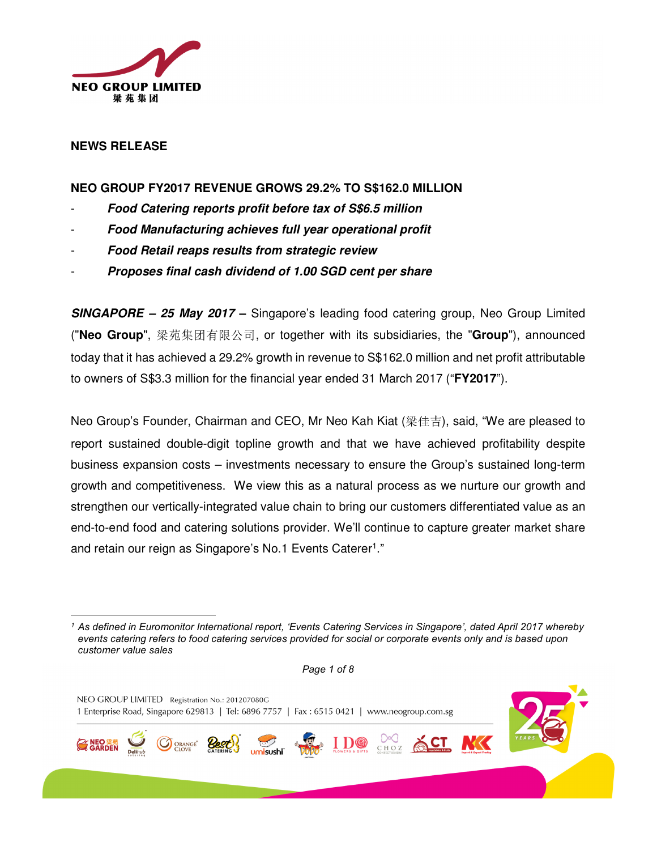

## **NEWS RELEASE**

l

## **NEO GROUP FY2017 REVENUE GROWS 29.2% TO S\$162.0 MILLION**

- **Food Catering reports profit before tax of S\$6.5 million**
- **Food Manufacturing achieves full year operational profit**
- **Food Retail reaps results from strategic review**
- **Proposes final cash dividend of 1.00 SGD cent per share**

**SINGAPORE – 25 May 2017 –** Singapore's leading food catering group, Neo Group Limited ("**Neo Group**", 梁苑集团有限公司, or together with its subsidiaries, the "**Group**"), announced today that it has achieved a 29.2% growth in revenue to S\$162.0 million and net profit attributable to owners of S\$3.3 million for the financial year ended 31 March 2017 ("**FY2017**").

Neo Group's Founder, Chairman and CEO, Mr Neo Kah Kiat (梁佳吉), said, "We are pleased to report sustained double-digit topline growth and that we have achieved profitability despite business expansion costs – investments necessary to ensure the Group's sustained long-term growth and competitiveness. We view this as a natural process as we nurture our growth and strengthen our vertically-integrated value chain to bring our customers differentiated value as an end-to-end food and catering solutions provider. We'll continue to capture greater market share and retain our reign as Singapore's No.1 Events Caterer<sup>1</sup>."

Page 1 of 8



<sup>1</sup> As defined in Euromonitor International report, 'Events Catering Services in Singapore', dated April 2017 whereby events catering refers to food catering services provided for social or corporate events only and is based upon customer value sales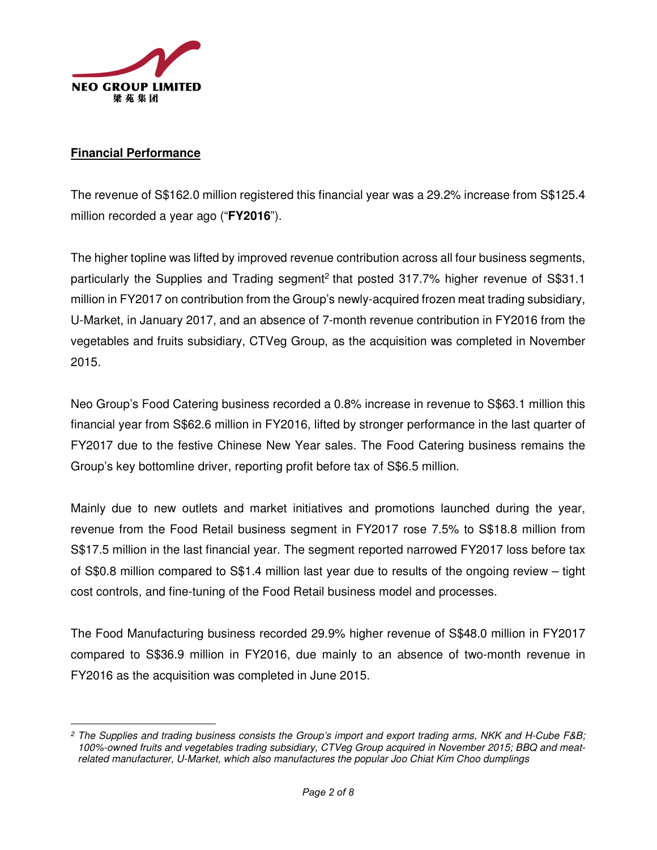

## **Financial Performance**

 $\overline{a}$ 

The revenue of S\$162.0 million registered this financial year was a 29.2% increase from S\$125.4 million recorded a year ago ("**FY2016**").

The higher topline was lifted by improved revenue contribution across all four business segments, particularly the Supplies and Trading segment<sup>2</sup> that posted 317.7% higher revenue of S\$31.1 million in FY2017 on contribution from the Group's newly-acquired frozen meat trading subsidiary, U-Market, in January 2017, and an absence of 7-month revenue contribution in FY2016 from the vegetables and fruits subsidiary, CTVeg Group, as the acquisition was completed in November 2015.

Neo Group's Food Catering business recorded a 0.8% increase in revenue to S\$63.1 million this financial year from S\$62.6 million in FY2016, lifted by stronger performance in the last quarter of FY2017 due to the festive Chinese New Year sales. The Food Catering business remains the Group's key bottomline driver, reporting profit before tax of S\$6.5 million.

Mainly due to new outlets and market initiatives and promotions launched during the year, revenue from the Food Retail business segment in FY2017 rose 7.5% to S\$18.8 million from S\$17.5 million in the last financial year. The segment reported narrowed FY2017 loss before tax of S\$0.8 million compared to S\$1.4 million last year due to results of the ongoing review – tight cost controls, and fine-tuning of the Food Retail business model and processes.

The Food Manufacturing business recorded 29.9% higher revenue of S\$48.0 million in FY2017 compared to S\$36.9 million in FY2016, due mainly to an absence of two-month revenue in FY2016 as the acquisition was completed in June 2015.

<sup>2</sup> The Supplies and trading business consists the Group's import and export trading arms, NKK and H-Cube F&B; 100%-owned fruits and vegetables trading subsidiary, CTVeg Group acquired in November 2015; BBQ and meatrelated manufacturer, U-Market, which also manufactures the popular Joo Chiat Kim Choo dumplings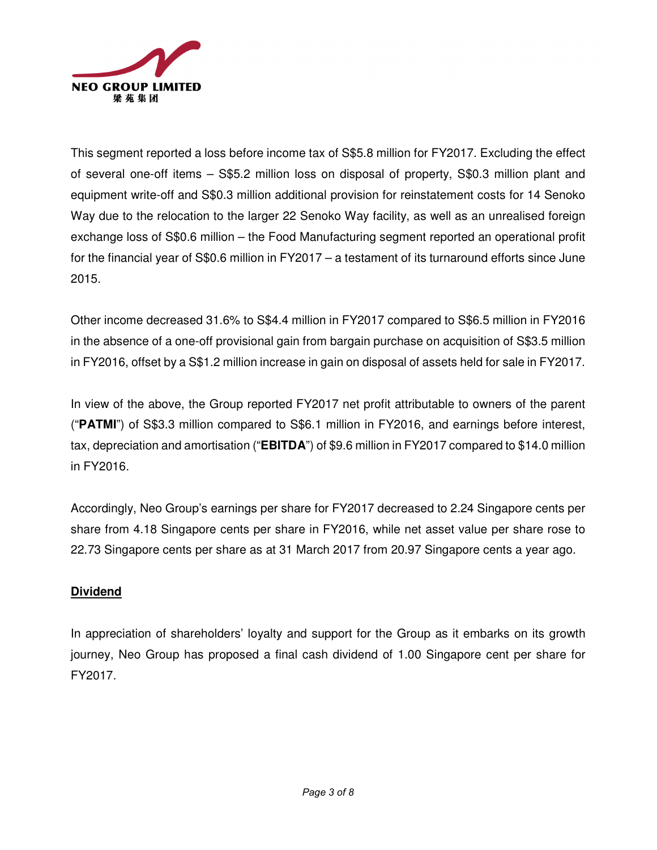

This segment reported a loss before income tax of S\$5.8 million for FY2017. Excluding the effect of several one-off items – S\$5.2 million loss on disposal of property, S\$0.3 million plant and equipment write-off and S\$0.3 million additional provision for reinstatement costs for 14 Senoko Way due to the relocation to the larger 22 Senoko Way facility, as well as an unrealised foreign exchange loss of S\$0.6 million – the Food Manufacturing segment reported an operational profit for the financial year of S\$0.6 million in FY2017 – a testament of its turnaround efforts since June 2015.

Other income decreased 31.6% to S\$4.4 million in FY2017 compared to S\$6.5 million in FY2016 in the absence of a one-off provisional gain from bargain purchase on acquisition of S\$3.5 million in FY2016, offset by a S\$1.2 million increase in gain on disposal of assets held for sale in FY2017.

In view of the above, the Group reported FY2017 net profit attributable to owners of the parent ("**PATMI**") of S\$3.3 million compared to S\$6.1 million in FY2016, and earnings before interest, tax, depreciation and amortisation ("**EBITDA**") of \$9.6 million in FY2017 compared to \$14.0 million in FY2016.

Accordingly, Neo Group's earnings per share for FY2017 decreased to 2.24 Singapore cents per share from 4.18 Singapore cents per share in FY2016, while net asset value per share rose to 22.73 Singapore cents per share as at 31 March 2017 from 20.97 Singapore cents a year ago.

# **Dividend**

In appreciation of shareholders' loyalty and support for the Group as it embarks on its growth journey, Neo Group has proposed a final cash dividend of 1.00 Singapore cent per share for FY2017.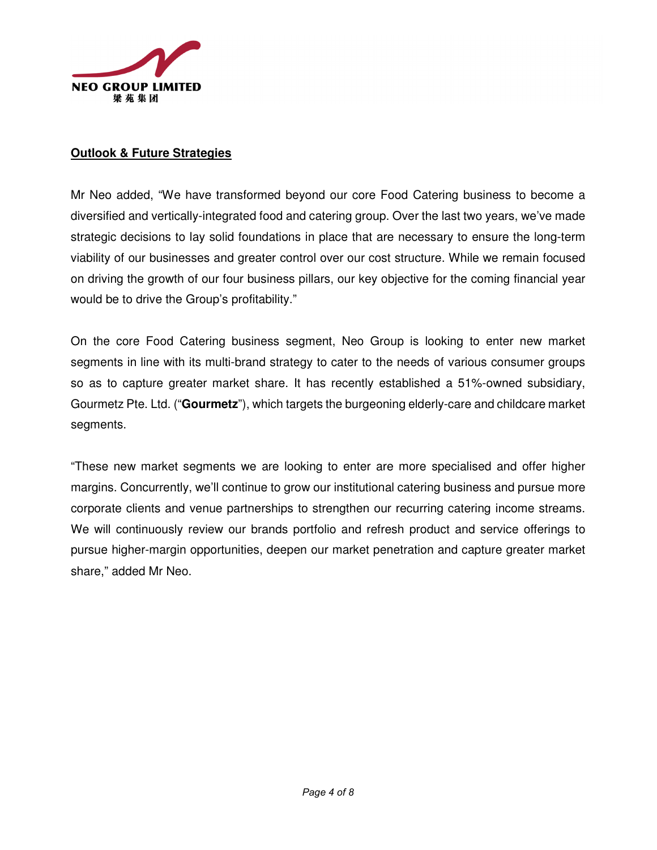

## **Outlook & Future Strategies**

Mr Neo added, "We have transformed beyond our core Food Catering business to become a diversified and vertically-integrated food and catering group. Over the last two years, we've made strategic decisions to lay solid foundations in place that are necessary to ensure the long-term viability of our businesses and greater control over our cost structure. While we remain focused on driving the growth of our four business pillars, our key objective for the coming financial year would be to drive the Group's profitability."

On the core Food Catering business segment, Neo Group is looking to enter new market segments in line with its multi-brand strategy to cater to the needs of various consumer groups so as to capture greater market share. It has recently established a 51%-owned subsidiary, Gourmetz Pte. Ltd. ("**Gourmetz**"), which targets the burgeoning elderly-care and childcare market segments.

"These new market segments we are looking to enter are more specialised and offer higher margins. Concurrently, we'll continue to grow our institutional catering business and pursue more corporate clients and venue partnerships to strengthen our recurring catering income streams. We will continuously review our brands portfolio and refresh product and service offerings to pursue higher-margin opportunities, deepen our market penetration and capture greater market share," added Mr Neo.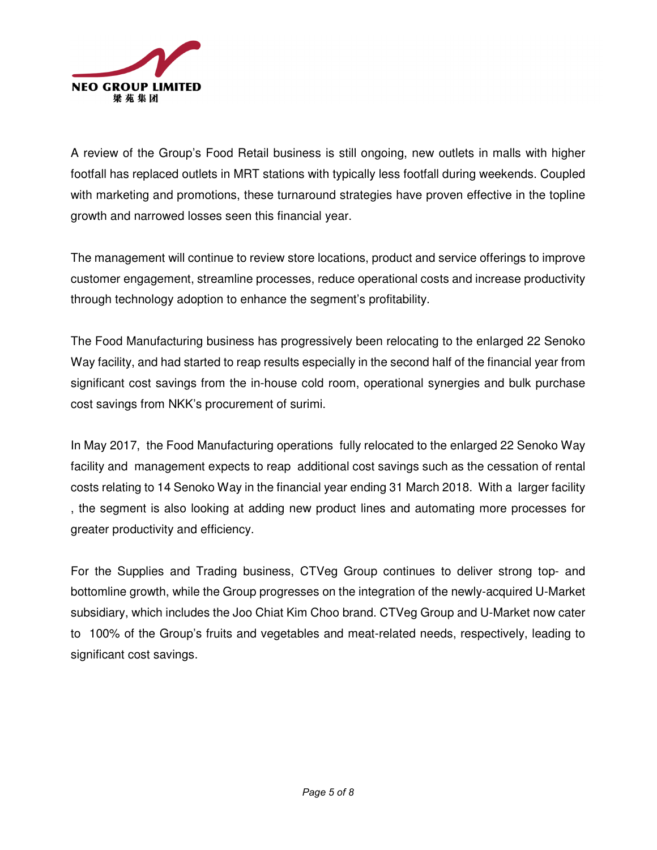

A review of the Group's Food Retail business is still ongoing, new outlets in malls with higher footfall has replaced outlets in MRT stations with typically less footfall during weekends. Coupled with marketing and promotions, these turnaround strategies have proven effective in the topline growth and narrowed losses seen this financial year.

The management will continue to review store locations, product and service offerings to improve customer engagement, streamline processes, reduce operational costs and increase productivity through technology adoption to enhance the segment's profitability.

The Food Manufacturing business has progressively been relocating to the enlarged 22 Senoko Way facility, and had started to reap results especially in the second half of the financial year from significant cost savings from the in-house cold room, operational synergies and bulk purchase cost savings from NKK's procurement of surimi.

In May 2017, the Food Manufacturing operations fully relocated to the enlarged 22 Senoko Way facility and management expects to reap additional cost savings such as the cessation of rental costs relating to 14 Senoko Way in the financial year ending 31 March 2018. With a larger facility , the segment is also looking at adding new product lines and automating more processes for greater productivity and efficiency.

For the Supplies and Trading business, CTVeg Group continues to deliver strong top- and bottomline growth, while the Group progresses on the integration of the newly-acquired U-Market subsidiary, which includes the Joo Chiat Kim Choo brand. CTVeg Group and U-Market now cater to 100% of the Group's fruits and vegetables and meat-related needs, respectively, leading to significant cost savings.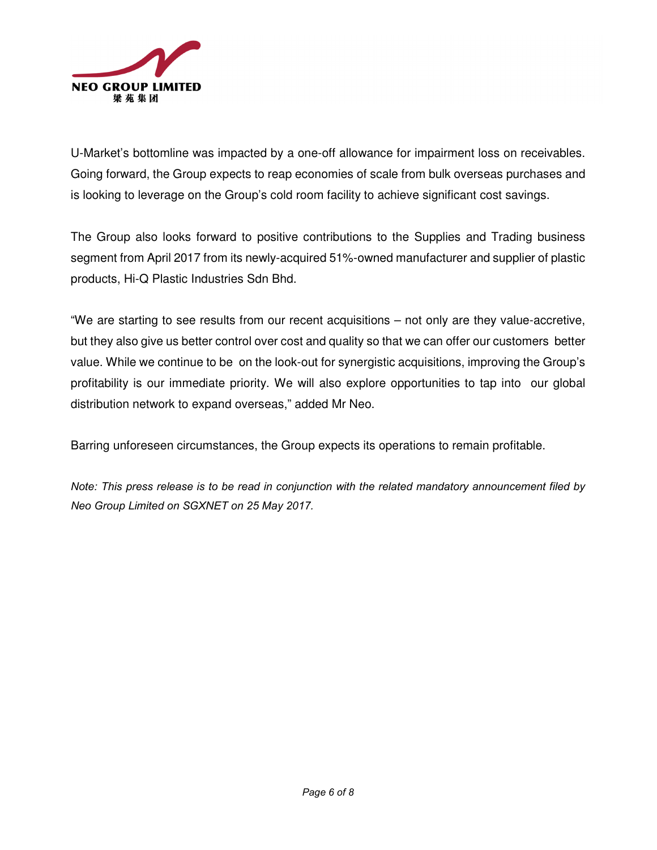

U-Market's bottomline was impacted by a one-off allowance for impairment loss on receivables. Going forward, the Group expects to reap economies of scale from bulk overseas purchases and is looking to leverage on the Group's cold room facility to achieve significant cost savings.

The Group also looks forward to positive contributions to the Supplies and Trading business segment from April 2017 from its newly-acquired 51%-owned manufacturer and supplier of plastic products, Hi-Q Plastic Industries Sdn Bhd.

"We are starting to see results from our recent acquisitions – not only are they value-accretive, but they also give us better control over cost and quality so that we can offer our customers better value. While we continue to be on the look-out for synergistic acquisitions, improving the Group's profitability is our immediate priority. We will also explore opportunities to tap into our global distribution network to expand overseas," added Mr Neo.

Barring unforeseen circumstances, the Group expects its operations to remain profitable.

Note: This press release is to be read in conjunction with the related mandatory announcement filed by Neo Group Limited on SGXNET on 25 May 2017.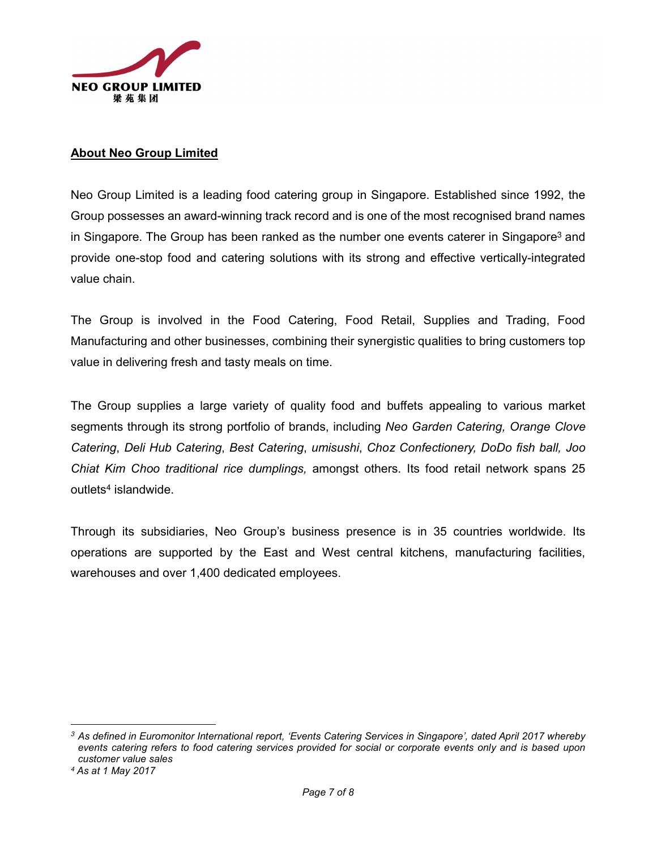

## About Neo Group Limited

Neo Group Limited is a leading food catering group in Singapore. Established since 1992, the Group possesses an award-winning track record and is one of the most recognised brand names in Singapore. The Group has been ranked as the number one events caterer in Singapore<sup>3</sup> and provide one-stop food and catering solutions with its strong and effective vertically-integrated value chain.

The Group is involved in the Food Catering, Food Retail, Supplies and Trading, Food Manufacturing and other businesses, combining their synergistic qualities to bring customers top value in delivering fresh and tasty meals on time.

The Group supplies a large variety of quality food and buffets appealing to various market segments through its strong portfolio of brands, including Neo Garden Catering, Orange Clove Catering, Deli Hub Catering, Best Catering, umisushi, Choz Confectionery, DoDo fish ball, Joo Chiat Kim Choo traditional rice dumplings, amongst others. Its food retail network spans 25 outlets<sup>4</sup> islandwide.

Through its subsidiaries, Neo Group's business presence is in 35 countries worldwide. Its operations are supported by the East and West central kitchens, manufacturing facilities, warehouses and over 1,400 dedicated employees.

 $\overline{a}$ 

<sup>&</sup>lt;sup>3</sup> As defined in Euromonitor International report, 'Events Catering Services in Singapore', dated April 2017 whereby events catering refers to food catering services provided for social or corporate events only and is based upon customer value sales

<sup>4</sup> As at 1 May 2017